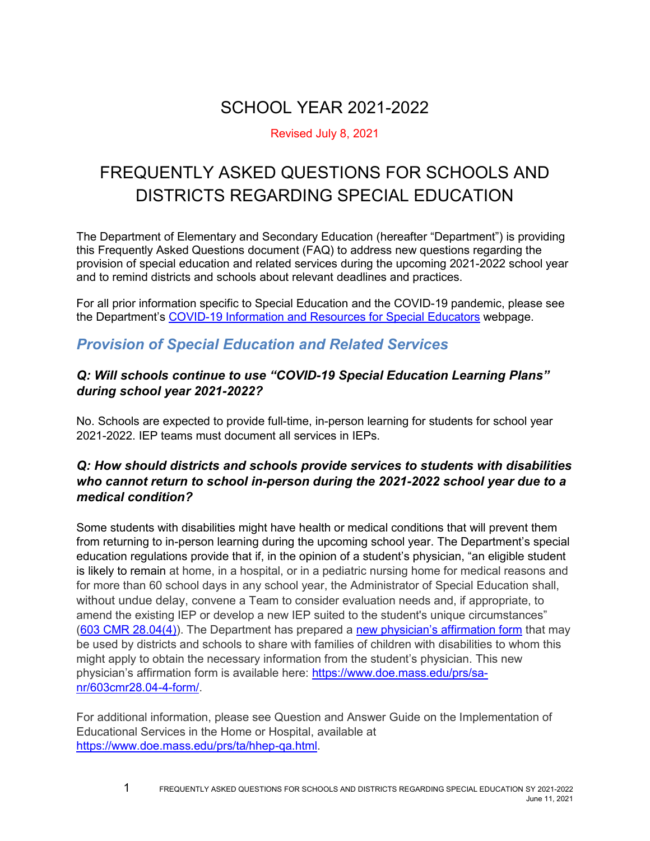# SCHOOL YEAR 2021-2022

#### Revised July 8, 2021

# FREQUENTLY ASKED QUESTIONS FOR SCHOOLS AND DISTRICTS REGARDING SPECIAL EDUCATION

The Department of Elementary and Secondary Education (hereafter "Department") is providing this Frequently Asked Questions document (FAQ) to address new questions regarding the provision of special education and related services during the upcoming 2021-2022 school year and to remind districts and schools about relevant deadlines and practices.

For all prior information specific to Special Education and the COVID-19 pandemic, please see the Department's [COVID-19 Information and Resources for Special Educators](http://www.doe.mass.edu/covid19/sped.html) webpage.

### *Provision of Special Education and Related Services*

#### *Q: Will schools continue to use "COVID-19 Special Education Learning Plans" during school year 2021-2022?*

No. Schools are expected to provide full-time, in-person learning for students for school year 2021-2022. IEP teams must document all services in IEPs.

#### *Q: How should districts and schools provide services to students with disabilities who cannot return to school in-person during the 2021-2022 school year due to a medical condition?*

Some students with disabilities might have health or medical conditions that will prevent them from returning to in-person learning during the upcoming school year. The Department's special education regulations provide that if, in the opinion of a student's physician, "an eligible student is likely to remain at home, in a hospital, or in a pediatric nursing home for medical reasons and for more than 60 school days in any school year, the Administrator of Special Education shall, without undue delay, convene a Team to consider evaluation needs and, if appropriate, to amend the existing IEP or develop a new IEP suited to the student's unique circumstances" [\(603 CMR 28.04\(4\)\)](https://www.doe.mass.edu/lawsregs/603cmr28.html?section=04). The Department has prepared a [new physician's affirmation form](https://www.doe.mass.edu/prs/sa-nr/603cmr28.04-4-form/) that may be used by districts and schools to share with families of children with disabilities to whom this might apply to obtain the necessary information from the student's physician. This new physician's affirmation form is available here: [https://www.doe.mass.edu/prs/sa](https://www.doe.mass.edu/prs/sa-nr/603cmr28.04-4-form/)[nr/603cmr28.04-4-form/.](https://www.doe.mass.edu/prs/sa-nr/603cmr28.04-4-form/)

For additional information, please see Question and Answer Guide on the Implementation of Educational Services in the Home or Hospital, available at [https://www.doe.mass.edu/prs/ta/hhep-qa.html.](https://www.doe.mass.edu/prs/ta/hhep-qa.html)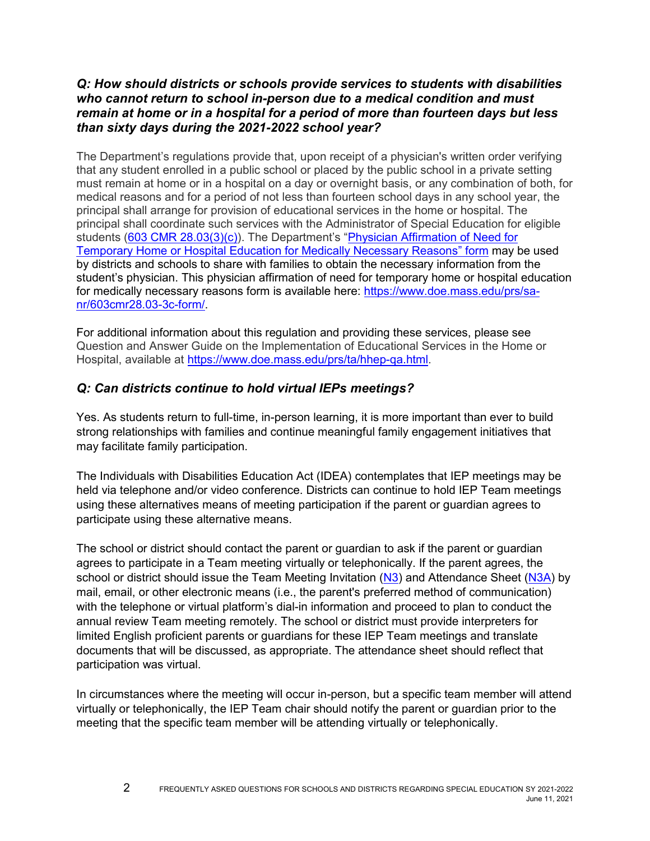#### *Q: How should districts or schools provide services to students with disabilities who cannot return to school in-person due to a medical condition and must remain at home or in a hospital for a period of more than fourteen days but less than sixty days during the 2021-2022 school year?*

The Department's regulations provide that, upon receipt of a physician's written order verifying that any student enrolled in a public school or placed by the public school in a private setting must remain at home or in a hospital on a day or overnight basis, or any combination of both, for medical reasons and for a period of not less than fourteen school days in any school year, the principal shall arrange for provision of educational services in the home or hospital. The principal shall coordinate such services with the Administrator of Special Education for eligible students [\(603 CMR 28.03\(3\)\(c\)\)](https://www.doe.mass.edu/lawsregs/603cmr28.html?section=03). The Department's "[Physician Affirmation of Need for](https://www.doe.mass.edu/prs/sa-nr/603cmr28.03-3c-form/)  [Temporary Home or Hospital Education for Medically Necessary Reasons](https://www.doe.mass.edu/prs/sa-nr/603cmr28.03-3c-form/)" form may be used by districts and schools to share with families to obtain the necessary information from the student's physician. This physician affirmation of need for temporary home or hospital education for medically necessary reasons form is available here: [https://www.doe.mass.edu/prs/sa](https://www.doe.mass.edu/prs/sa-nr/603cmr28.03-3c-form/)[nr/603cmr28.03-3c-form/.](https://www.doe.mass.edu/prs/sa-nr/603cmr28.03-3c-form/)

For additional information about this regulation and providing these services, please see Question and Answer Guide on the Implementation of Educational Services in the Home or Hospital, available at [https://www.doe.mass.edu/prs/ta/hhep-qa.html.](https://www.doe.mass.edu/prs/ta/hhep-qa.html)

#### *Q: Can districts continue to hold virtual IEPs meetings?*

Yes. As students return to full-time, in-person learning, it is more important than ever to build strong relationships with families and continue meaningful family engagement initiatives that may facilitate family participation.

The Individuals with Disabilities Education Act (IDEA) contemplates that IEP meetings may be held via telephone and/or video conference. Districts can continue to hold IEP Team meetings using these alternatives means of meeting participation if the parent or guardian agrees to participate using these alternative means.

The school or district should contact the parent or guardian to ask if the parent or guardian agrees to participate in a Team meeting virtually or telephonically. If the parent agrees, the school or district should issue the Team Meeting Invitation [\(N3\)](https://www.doe.mass.edu/sped/iep/forms/english/n3.pdf) and Attendance Sheet [\(N3A\)](https://www.doe.mass.edu/sped/iep/forms/english/n3a.pdf) by mail, email, or other electronic means (i.e., the parent's preferred method of communication) with the telephone or virtual platform's dial-in information and proceed to plan to conduct the annual review Team meeting remotely. The school or district must provide interpreters for limited English proficient parents or guardians for these IEP Team meetings and translate documents that will be discussed, as appropriate. The attendance sheet should reflect that participation was virtual.

In circumstances where the meeting will occur in-person, but a specific team member will attend virtually or telephonically, the IEP Team chair should notify the parent or guardian prior to the meeting that the specific team member will be attending virtually or telephonically.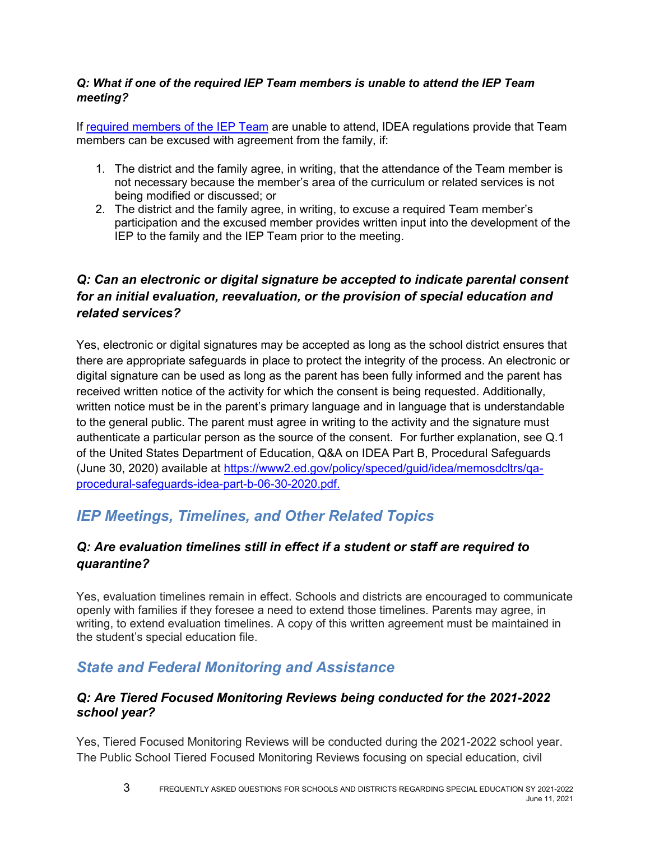#### *Q: What if one of the required IEP Team members is unable to attend the IEP Team meeting?*

If [required members of the IEP Team](https://sites.ed.gov/idea/regs/b/d/300.321) are unable to attend, IDEA regulations provide that Team members can be excused with agreement from the family, if:

- 1. The district and the family agree, in writing, that the attendance of the Team member is not necessary because the member's area of the curriculum or related services is not being modified or discussed; or
- 2. The district and the family agree, in writing, to excuse a required Team member's participation and the excused member provides written input into the development of the IEP to the family and the IEP Team prior to the meeting.

### *Q: Can an electronic or digital signature be accepted to indicate parental consent for an initial evaluation, reevaluation, or the provision of special education and related services?*

Yes, electronic or digital signatures may be accepted as long as the school district ensures that there are appropriate safeguards in place to protect the integrity of the process. An electronic or digital signature can be used as long as the parent has been fully informed and the parent has received written notice of the activity for which the consent is being requested. Additionally, written notice must be in the parent's primary language and in language that is understandable to the general public. The parent must agree in writing to the activity and the signature must authenticate a particular person as the source of the consent. For further explanation, see Q.1 of the United States Department of Education, Q&A on IDEA Part B, Procedural Safeguards (June 30, 2020) available at [https://www2.ed.gov/policy/speced/guid/idea/memosdcltrs/qa](https://www2.ed.gov/policy/speced/guid/idea/memosdcltrs/qa-procedural-safeguards-idea-part-b-06-30-2020.pdf)[procedural-safeguards-idea-part-b-06-30-2020.pdf.](https://www2.ed.gov/policy/speced/guid/idea/memosdcltrs/qa-procedural-safeguards-idea-part-b-06-30-2020.pdf)

# *IEP Meetings, Timelines, and Other Related Topics*

### *Q: Are evaluation timelines still in effect if a student or staff are required to quarantine?*

Yes, evaluation timelines remain in effect. Schools and districts are encouraged to communicate openly with families if they foresee a need to extend those timelines. Parents may agree, in writing, to extend evaluation timelines. A copy of this written agreement must be maintained in the student's special education file.

## *State and Federal Monitoring and Assistance*

#### *Q: Are Tiered Focused Monitoring Reviews being conducted for the 2021-2022 school year?*

Yes, Tiered Focused Monitoring Reviews will be conducted during the 2021-2022 school year. The Public School Tiered Focused Monitoring Reviews focusing on special education, civil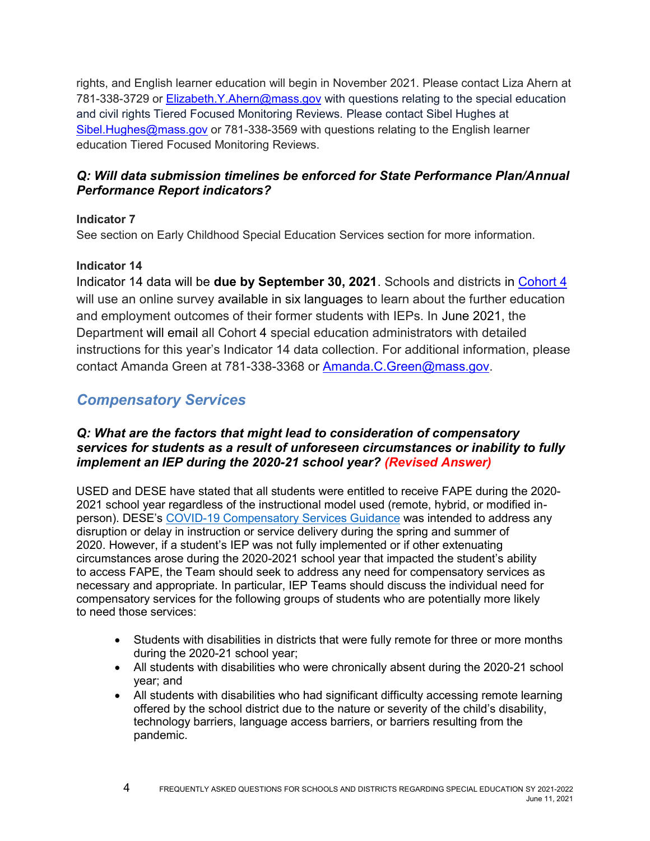rights, and English learner education will begin in November 2021. Please contact Liza Ahern at 781-338-3729 or Elizabeth.Y. Ahern@mass.gov with questions relating to the special education and civil rights Tiered Focused Monitoring Reviews. Please contact Sibel Hughes at [Sibel.Hughes@mass.gov](mailto:Sibel.Hughes@mass.gov) or 781-338-3569 with questions relating to the English learner education Tiered Focused Monitoring Reviews.

#### *Q: Will data submission timelines be enforced for State Performance Plan/Annual Performance Report indicators?*

#### **Indicator 7**

See section on Early Childhood Special Education Services section for more information.

#### **Indicator 14**

Indicator 14 data will be **due by September 30, 2021**. Schools and districts in [Cohort 4](http://www.doe.mass.edu/sped/spp/datacollection.html?section=list) will use an online survey available in six languages to learn about the further education and employment outcomes of their former students with IEPs. In June 2021, the Department will email all Cohort 4 special education administrators with detailed instructions for this year's Indicator 14 data collection. For additional information, please contact Amanda Green at 781-338-3368 or [Amanda.C.Green@mass.gov.](mailto:Amanda.C.Green@mass.gov)

## *Compensatory Services*

#### *Q: What are the factors that might lead to consideration of compensatory services for students as a result of unforeseen circumstances or inability to fully implement an IEP during the 2020-21 school year? (Revised Answer)*

USED and DESE have stated that all students were entitled to receive FAPE during the 2020- 2021 school year regardless of the instructional model used (remote, hybrid, or modified inperson). DESE's [COVID-19 Compensatory Services Guidance](https://www.doe.mass.edu/sped/advisories/2021-1-covid-compservices.docx) was intended to address any disruption or delay in instruction or service delivery during the spring and summer of 2020. However, if a student's IEP was not fully implemented or if other extenuating circumstances arose during the 2020-2021 school year that impacted the student's ability to access FAPE, the Team should seek to address any need for compensatory services as necessary and appropriate. In particular, IEP Teams should discuss the individual need for compensatory services for the following groups of students who are potentially more likely to need those services:

- Students with disabilities in districts that were fully remote for three or more months during the 2020-21 school year;
- All students with disabilities who were chronically absent during the 2020-21 school year; and
- All students with disabilities who had significant difficulty accessing remote learning offered by the school district due to the nature or severity of the child's disability, technology barriers, language access barriers, or barriers resulting from the pandemic.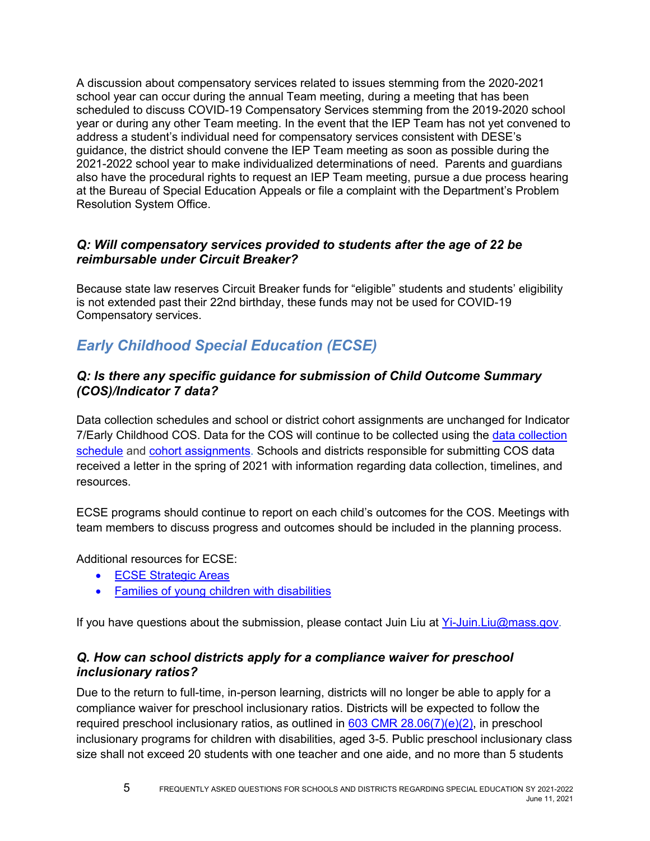A discussion about compensatory services related to issues stemming from the 2020-2021 school year can occur during the annual Team meeting, during a meeting that has been scheduled to discuss COVID-19 Compensatory Services stemming from the 2019-2020 school year or during any other Team meeting. In the event that the IEP Team has not yet convened to address a student's individual need for compensatory services consistent with DESE's guidance, the district should convene the IEP Team meeting as soon as possible during the 2021-2022 school year to make individualized determinations of need. Parents and guardians also have the procedural rights to request an IEP Team meeting, pursue a due process hearing at the Bureau of Special Education Appeals or file a complaint with the Department's Problem Resolution System Office.

#### *Q: Will compensatory services provided to students after the age of 22 be reimbursable under Circuit Breaker?*

Because state law reserves Circuit Breaker funds for "eligible" students and students' eligibility is not extended past their 22nd birthday, these funds may not be used for COVID-19 Compensatory services.

# *Early Childhood Special Education (ECSE)*

#### *Q: Is there any specific guidance for submission of Child Outcome Summary (COS)/Indicator 7 data?*

Data collection schedules and school or district cohort assignments are unchanged for Indicator 7/Early Childhood COS. Data for the COS will continue to be collected using the [data collection](https://www.doe.mass.edu/sped/spp/datacollection.html?section=schedule)  [schedule](https://www.doe.mass.edu/sped/spp/datacollection.html?section=schedule) and [cohort assignments.](https://www.doe.mass.edu/sped/spp/datacollection.html?section=list) Schools and districts responsible for submitting COS data received a letter in the spring of 2021 with information regarding data collection, timelines, and resources.

ECSE programs should continue to report on each child's outcomes for the COS. Meetings with team members to discuss progress and outcomes should be included in the planning process.

Additional resources for ECSE:

- [ECSE Strategic Areas](https://www.doe.mass.edu/sped/ecse/StrategicAreas.html)
- Families of young children with disabilities

If you have questions about the submission, please contact Juin Liu at [Yi-Juin.Liu@mass.gov.](mailto:Yi-Juin.Liu@mass.gov)

#### *Q. How can school districts apply for a compliance waiver for preschool inclusionary ratios?*

Due to the return to full-time, in-person learning, districts will no longer be able to apply for a compliance waiver for preschool inclusionary ratios. Districts will be expected to follow the required preschool inclusionary ratios, as outlined in  $603$  CMR  $28.06(7)(e)(2)$ , in preschool inclusionary programs for children with disabilities, aged 3-5. Public preschool inclusionary class size shall not exceed 20 students with one teacher and one aide, and no more than 5 students